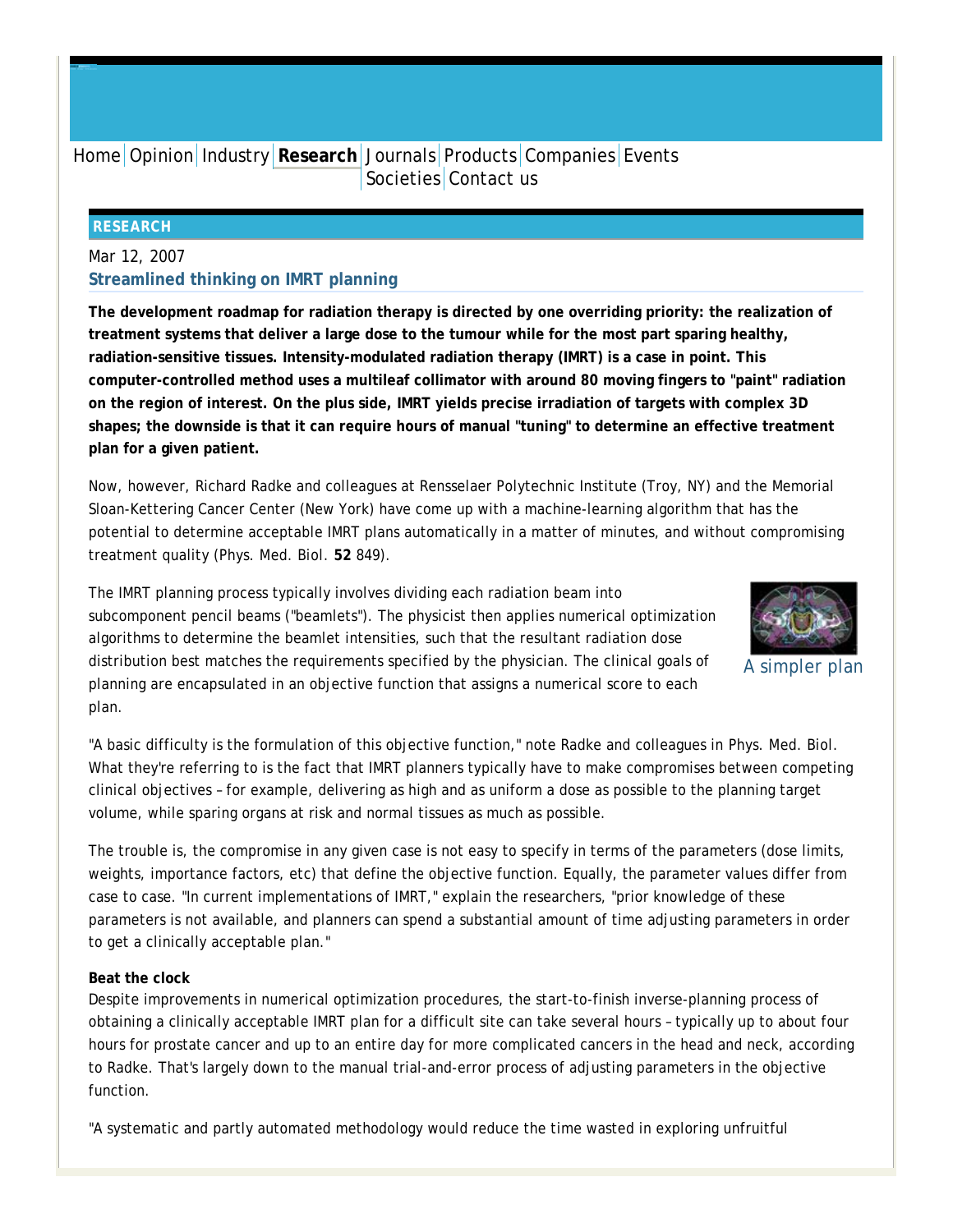# Home Opinion Industry **Research** Journals Products Companies Events Societies Contact us

#### **RESEARCH**

## Mar 12, 2007 **Streamlined thinking on IMRT planning**

**The development roadmap for radiation therapy is directed by one overriding priority: the realization of treatment systems that deliver a large dose to the tumour while for the most part sparing healthy, radiation-sensitive tissues. Intensity-modulated radiation therapy (IMRT) is a case in point. This computer-controlled method uses a multileaf collimator with around 80 moving fingers to "paint" radiation on the region of interest. On the plus side, IMRT yields precise irradiation of targets with complex 3D shapes; the downside is that it can require hours of manual "tuning" to determine an effective treatment plan for a given patient.**

Now, however, Richard Radke and colleagues at Rensselaer Polytechnic Institute (Troy, NY) and the Memorial Sloan-Kettering Cancer Center (New York) have come up with a machine-learning algorithm that has the potential to determine acceptable IMRT plans automatically in a matter of minutes, and without compromising treatment quality (*Phys. Med. Biol.* **52** 849).

The IMRT planning process typically involves dividing each radiation beam into subcomponent pencil beams ("beamlets"). The physicist then applies numerical optimization algorithms to determine the beamlet intensities, such that the resultant radiation dose distribution best matches the requirements specified by the physician. The clinical goals of planning are encapsulated in an objective function that assigns a numerical score to each plan.



A simpler plan

"A basic difficulty is the formulation of this objective function," note Radke and colleagues in *Phys. Med. Biol.* What they're referring to is the fact that IMRT planners typically have to make compromises between competing clinical objectives – for example, delivering as high and as uniform a dose as possible to the planning target volume, while sparing organs at risk and normal tissues as much as possible.

The trouble is, the compromise in any given case is not easy to specify in terms of the parameters (dose limits, weights, importance factors, etc) that define the objective function. Equally, the parameter values differ from case to case. "In current implementations of IMRT," explain the researchers, "prior knowledge of these parameters is not available, and planners can spend a substantial amount of time adjusting parameters in order to get a clinically acceptable plan."

## **Beat the clock**

Despite improvements in numerical optimization procedures, the start-to-finish inverse-planning process of obtaining a clinically acceptable IMRT plan for a difficult site can take several hours – typically up to about four hours for prostate cancer and up to an entire day for more complicated cancers in the head and neck, according to Radke. That's largely down to the manual trial-and-error process of adjusting parameters in the objective function.

"A systematic and partly automated methodology would reduce the time wasted in exploring unfruitful